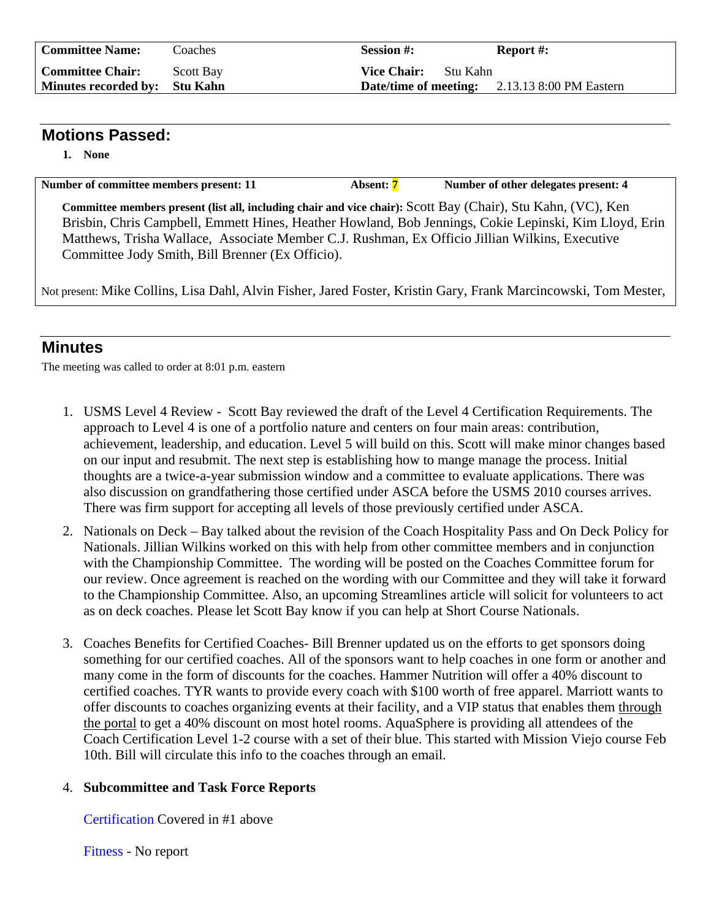| <b>Committee Name:</b>        | Coaches   | <b>Session #:</b>                | Report #:                                            |
|-------------------------------|-----------|----------------------------------|------------------------------------------------------|
| <b>Committee Chair:</b>       | Scott Bay | <b>Vice Chair:</b><br>- Stu Kahn |                                                      |
| Minutes recorded by: Stu Kahn |           |                                  | <b>Date/time of meeting:</b> 2.13.13 8:00 PM Eastern |

## **Motions Passed:**

**1. None** 

Number of committee members present: 11 Absent: 7 Number of other delegates present: 4

**Committee members present (list all, including chair and vice chair):** Scott Bay (Chair), Stu Kahn, (VC), Ken Brisbin, Chris Campbell, Emmett Hines, Heather Howland, Bob Jennings, Cokie Lepinski, Kim Lloyd, Erin Matthews, Trisha Wallace, Associate Member C.J. Rushman, Ex Officio Jillian Wilkins, Executive Committee Jody Smith, Bill Brenner (Ex Officio).

Not present: Mike Collins, Lisa Dahl, Alvin Fisher, Jared Foster, Kristin Gary, Frank Marcincowski, Tom Mester,

## **Minutes**

The meeting was called to order at 8:01 p.m. eastern

- 1. USMS Level 4 Review Scott Bay reviewed the draft of the Level 4 Certification Requirements. The approach to Level 4 is one of a portfolio nature and centers on four main areas: contribution, achievement, leadership, and education. Level 5 will build on this. Scott will make minor changes based on our input and resubmit. The next step is establishing how to mange manage the process. Initial thoughts are a twice-a-year submission window and a committee to evaluate applications. There was also discussion on grandfathering those certified under ASCA before the USMS 2010 courses arrives. There was firm support for accepting all levels of those previously certified under ASCA.
- 2. Nationals on Deck Bay talked about the revision of the Coach Hospitality Pass and On Deck Policy for Nationals. Jillian Wilkins worked on this with help from other committee members and in conjunction with the Championship Committee. The wording will be posted on the Coaches Committee forum for our review. Once agreement is reached on the wording with our Committee and they will take it forward to the Championship Committee. Also, an upcoming Streamlines article will solicit for volunteers to act as on deck coaches. Please let Scott Bay know if you can help at Short Course Nationals.
- 3. Coaches Benefits for Certified Coaches- Bill Brenner updated us on the efforts to get sponsors doing something for our certified coaches. All of the sponsors want to help coaches in one form or another and many come in the form of discounts for the coaches. Hammer Nutrition will offer a 40% discount to certified coaches. TYR wants to provide every coach with \$100 worth of free apparel. Marriott wants to offer discounts to coaches organizing events at their facility, and a VIP status that enables them through the portal to get a 40% discount on most hotel rooms. AquaSphere is providing all attendees of the Coach Certification Level 1-2 course with a set of their blue. This started with Mission Viejo course Feb 10th. Bill will circulate this info to the coaches through an email.

## 4. **Subcommittee and Task Force Reports**

Certification Covered in #1 above

Fitness - No report